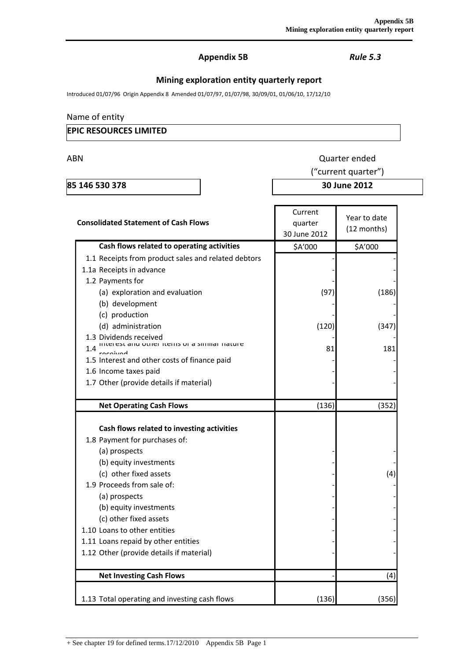## **Appendix 5B** *Rule 5.3*

# **Mining exploration entity quarterly report**

Introduced 01/07/96 Origin Appendix 8 Amended 01/07/97, 01/07/98, 30/09/01, 01/06/10, 17/12/10

## Name of entity

## **EPIC RESOURCES LIMITED**

ABN Quarter ended

**85 146 530 378 30 June 2012**

("current quarter")

| <b>Consolidated Statement of Cash Flows</b>                                                                                                                                                                                                                                                                                                                            | Current<br>quarter<br>30 June 2012 | Year to date<br>(12 months) |
|------------------------------------------------------------------------------------------------------------------------------------------------------------------------------------------------------------------------------------------------------------------------------------------------------------------------------------------------------------------------|------------------------------------|-----------------------------|
| Cash flows related to operating activities                                                                                                                                                                                                                                                                                                                             | \$A'000                            | \$A'000                     |
| 1.1 Receipts from product sales and related debtors                                                                                                                                                                                                                                                                                                                    |                                    |                             |
| 1.1a Receipts in advance                                                                                                                                                                                                                                                                                                                                               |                                    |                             |
| 1.2 Payments for                                                                                                                                                                                                                                                                                                                                                       |                                    |                             |
| (a) exploration and evaluation                                                                                                                                                                                                                                                                                                                                         | (97)                               | (186)                       |
| (b) development                                                                                                                                                                                                                                                                                                                                                        |                                    |                             |
| (c) production                                                                                                                                                                                                                                                                                                                                                         |                                    |                             |
| (d) administration                                                                                                                                                                                                                                                                                                                                                     | (120)                              | (347)                       |
| 1.3 Dividends received                                                                                                                                                                                                                                                                                                                                                 |                                    |                             |
| interest and other rients or a similar nature<br>1.4                                                                                                                                                                                                                                                                                                                   | 81                                 | 181                         |
| 1.5 Interest and other costs of finance paid                                                                                                                                                                                                                                                                                                                           |                                    |                             |
| 1.6 Income taxes paid                                                                                                                                                                                                                                                                                                                                                  |                                    |                             |
| 1.7 Other (provide details if material)                                                                                                                                                                                                                                                                                                                                |                                    |                             |
|                                                                                                                                                                                                                                                                                                                                                                        |                                    |                             |
| <b>Net Operating Cash Flows</b>                                                                                                                                                                                                                                                                                                                                        | (136)                              | (352)                       |
| Cash flows related to investing activities<br>1.8 Payment for purchases of:<br>(a) prospects<br>(b) equity investments<br>(c) other fixed assets<br>1.9 Proceeds from sale of:<br>(a) prospects<br>(b) equity investments<br>(c) other fixed assets<br>1.10 Loans to other entities<br>1.11 Loans repaid by other entities<br>1.12 Other (provide details if material) |                                    | (4)                         |
| <b>Net Investing Cash Flows</b>                                                                                                                                                                                                                                                                                                                                        |                                    | (4)                         |
| 1.13 Total operating and investing cash flows                                                                                                                                                                                                                                                                                                                          | (136)                              | (356)                       |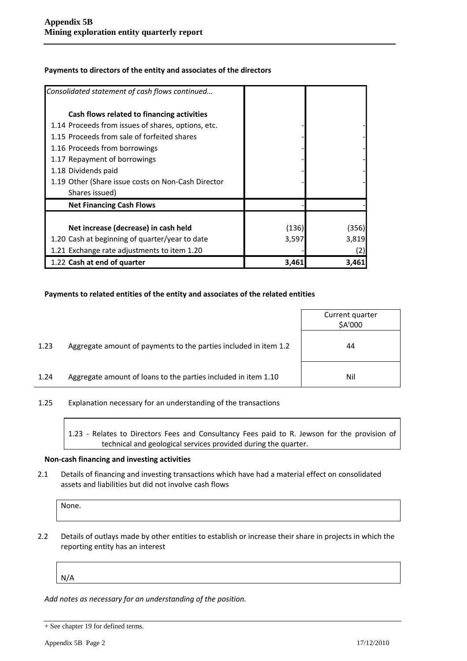| Consolidated statement of cash flows continued     |       |       |
|----------------------------------------------------|-------|-------|
| Cash flows related to financing activities         |       |       |
| 1.14 Proceeds from issues of shares, options, etc. |       |       |
| 1.15 Proceeds from sale of forfeited shares        |       |       |
| 1.16 Proceeds from borrowings                      |       |       |
| 1.17 Repayment of borrowings                       |       |       |
| 1.18 Dividends paid                                |       |       |
| 1.19 Other (Share issue costs on Non-Cash Director |       |       |
| Shares issued)                                     |       |       |
| <b>Net Financing Cash Flows</b>                    |       |       |
|                                                    |       |       |
| Net increase (decrease) in cash held               | (136) | (356) |
| 1.20 Cash at beginning of quarter/year to date     | 3,597 | 3,819 |
| 1.21 Exchange rate adjustments to item 1.20        |       | (2)   |
| 1.22 Cash at end of quarter                        | 3,461 | 3,461 |

#### **Payments to directors of the entity and associates of the directors**

#### **Payments to related entities of the entity and associates of the related entities**

|      |                                                                  | Current quarter<br>\$A'000 |
|------|------------------------------------------------------------------|----------------------------|
| 1.23 | Aggregate amount of payments to the parties included in item 1.2 | 44                         |
| 1.24 | Aggregate amount of loans to the parties included in item 1.10   | Nil                        |

1.25 Explanation necessary for an understanding of the transactions

1.23 - Relates to Directors Fees and Consultancy Fees paid to R. Jewson for the provision of technical and geological services provided during the quarter.

#### **Non-cash financing and investing activities**

2.1 Details of financing and investing transactions which have had a material effect on consolidated assets and liabilities but did not involve cash flows

| None. |  |  |  |
|-------|--|--|--|
|       |  |  |  |

2.2 Details of outlays made by other entities to establish or increase their share in projects in which the reporting entity has an interest

N/A

*Add notes as necessary for an understanding of the position.*

<sup>+</sup> See chapter 19 for defined terms.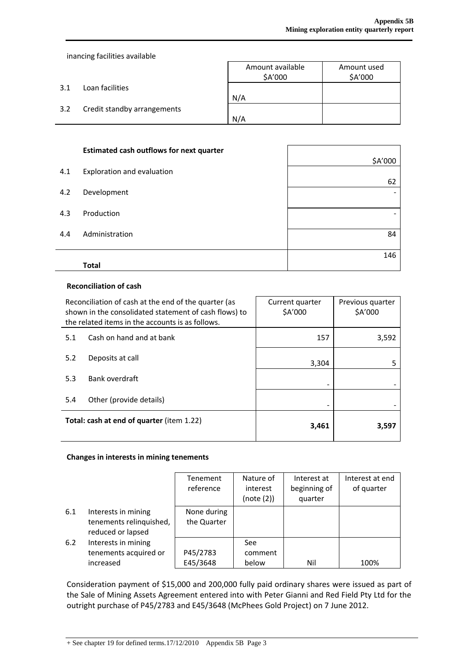inancing facilities available

|     |                             | Amount available<br>\$A'000 | Amount used<br>\$A'000 |
|-----|-----------------------------|-----------------------------|------------------------|
| 3.1 | Loan facilities             | N/A                         |                        |
| 3.2 | Credit standby arrangements | N/A                         |                        |

| 146                                                                                                                          |
|------------------------------------------------------------------------------------------------------------------------------|
|                                                                                                                              |
| 84                                                                                                                           |
|                                                                                                                              |
|                                                                                                                              |
| 62                                                                                                                           |
| \$A'000                                                                                                                      |
| <b>Estimated cash outflows for next quarter</b><br>Exploration and evaluation<br>Development<br>Production<br>Administration |

#### **Reconciliation of cash**

| Reconciliation of cash at the end of the quarter (as<br>shown in the consolidated statement of cash flows) to<br>the related items in the accounts is as follows. |                          | Current quarter<br>\$A'000 | Previous quarter<br>\$A'000 |  |
|-------------------------------------------------------------------------------------------------------------------------------------------------------------------|--------------------------|----------------------------|-----------------------------|--|
| 5.1                                                                                                                                                               | Cash on hand and at bank | 157                        | 3,592                       |  |
| 5.2                                                                                                                                                               | Deposits at call         | 3,304                      |                             |  |
| 5.3                                                                                                                                                               | Bank overdraft           |                            |                             |  |
| 5.4                                                                                                                                                               | Other (provide details)  |                            |                             |  |
| Total: cash at end of quarter (item 1.22)                                                                                                                         |                          | 3,461                      | 3,597                       |  |

## **Changes in interests in mining tenements**

|     |                         | Tenement    | Nature of  | Interest at  | Interest at end |
|-----|-------------------------|-------------|------------|--------------|-----------------|
|     |                         | reference   | interest   | beginning of | of quarter      |
|     |                         |             | (note (2)) | quarter      |                 |
| 6.1 | Interests in mining     | None during |            |              |                 |
|     | tenements relinquished, | the Quarter |            |              |                 |
|     | reduced or lapsed       |             |            |              |                 |
| 6.2 | Interests in mining     |             | See:       |              |                 |
|     | tenements acquired or   | P45/2783    | comment    |              |                 |
|     | increased               | E45/3648    | below      | Nil          | 100%            |

Consideration payment of \$15,000 and 200,000 fully paid ordinary shares were issued as part of the Sale of Mining Assets Agreement entered into with Peter Gianni and Red Field Pty Ltd for the outright purchase of P45/2783 and E45/3648 (McPhees Gold Project) on 7 June 2012.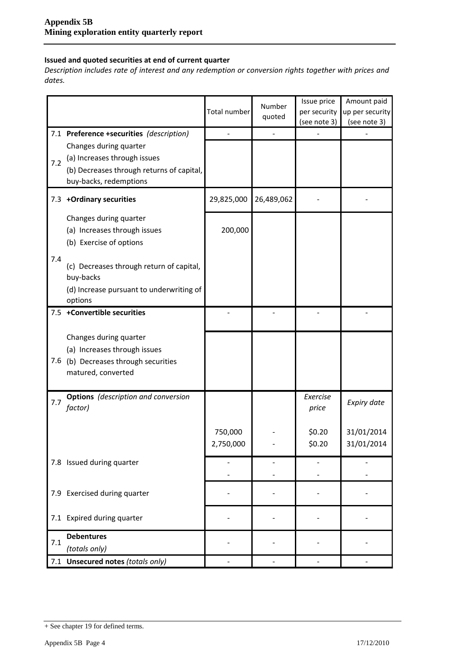## **Issued and quoted securities at end of current quarter**

*Description includes rate of interest and any redemption or conversion rights together with prices and dates.*

|     |                                                                                                                               | Total number         | Number<br>quoted | Issue price<br>per security<br>(see note 3) | Amount paid<br>up per security<br>(see note 3) |
|-----|-------------------------------------------------------------------------------------------------------------------------------|----------------------|------------------|---------------------------------------------|------------------------------------------------|
|     | 7.1 Preference +securities (description)                                                                                      |                      |                  |                                             |                                                |
| 7.2 | Changes during quarter<br>(a) Increases through issues<br>(b) Decreases through returns of capital,<br>buy-backs, redemptions |                      |                  |                                             |                                                |
|     | 7.3 +Ordinary securities                                                                                                      | 29,825,000           | 26,489,062       |                                             |                                                |
|     | Changes during quarter<br>(a) Increases through issues<br>(b) Exercise of options                                             | 200,000              |                  |                                             |                                                |
| 7.4 | (c) Decreases through return of capital,<br>buy-backs<br>(d) Increase pursuant to underwriting of<br>options                  |                      |                  |                                             |                                                |
| 7.5 | +Convertible securities                                                                                                       |                      |                  |                                             |                                                |
| 7.6 | Changes during quarter<br>(a) Increases through issues<br>(b) Decreases through securities<br>matured, converted              |                      |                  |                                             |                                                |
| 7.7 | <b>Options</b> (description and conversion<br>factor)                                                                         |                      |                  | Exercise<br>price                           | Expiry date                                    |
|     |                                                                                                                               | 750,000<br>2,750,000 |                  | \$0.20<br>\$0.20                            | 31/01/2014<br>31/01/2014                       |
|     | 7.8 Issued during quarter                                                                                                     |                      |                  |                                             |                                                |
|     | 7.9 Exercised during quarter                                                                                                  |                      |                  |                                             |                                                |
|     | 7.1 Expired during quarter                                                                                                    |                      |                  |                                             |                                                |
| 7.1 | <b>Debentures</b><br>(totals only)                                                                                            |                      |                  |                                             |                                                |
|     | 7.1 Unsecured notes (totals only)                                                                                             |                      |                  |                                             |                                                |

<sup>+</sup> See chapter 19 for defined terms.